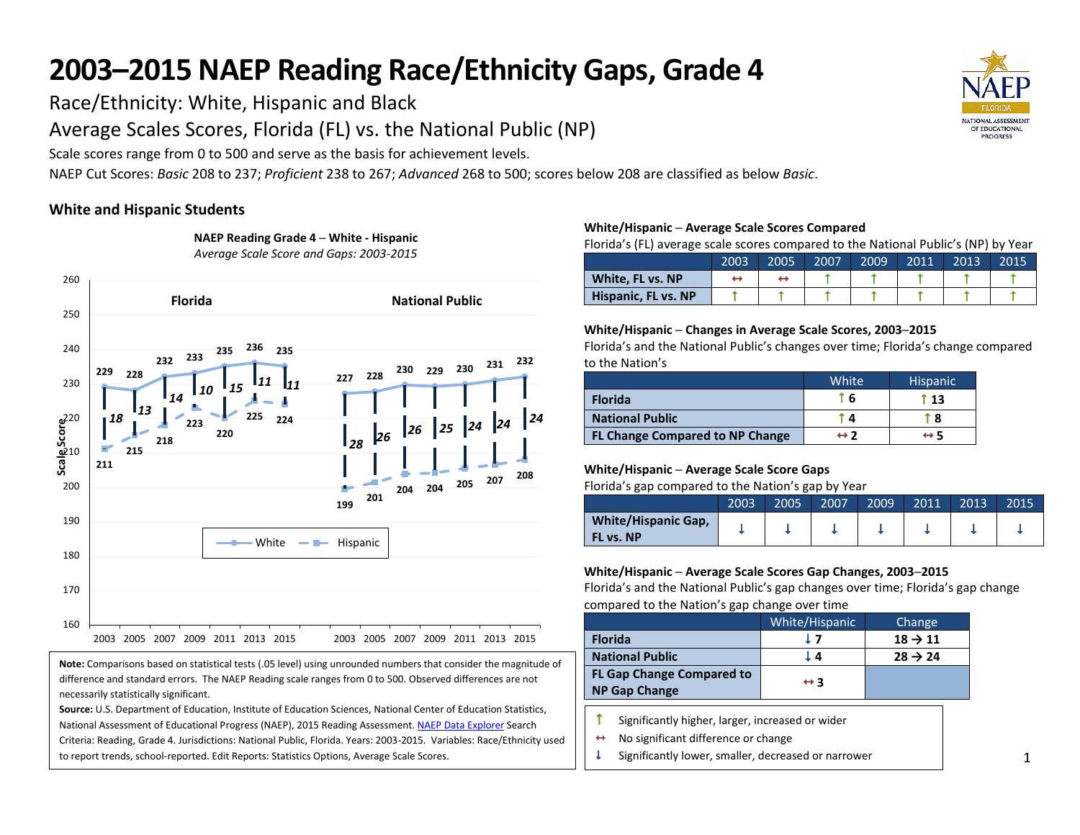Race/Ethnicity: White, Hispanic and Black

Average Scales Scores, Florida (FL) vs. the National Public (NP)

Scale scores range from 0 to 500 and serve as the basis for achievement levels.

**NAEP Reading Grade 4 ─ White - Hispanic**

NAEP Cut Scores: *Basic* 208 to 237; *Proficient* 238 to 267; *Advanced* 268 to 500; scores below 208 are classified as below *Basic*.

# **White and Hispanic Students**



**Note:** Comparisons based on statistical tests (.05 level) using unrounded numbers that consider the magnitude of difference and standard errors. The NAEP Reading scale ranges from 0 to 500. Observed differences are not necessarily statistically significant.

**Source:** U.S. Department of Education, Institute of Education Sciences, National Center of Education Statistics, National Assessment of Educational Progress (NAEP), 2015 Reading Assessment[. NAEP Data Explorer](http://nces.ed.gov/nationsreportcard/naepdata/) Search Criteria: Reading, Grade 4. Jurisdictions: National Public, Florida. Years: 2003-2015. Variables: Race/Ethnicity used to report trends, school-reported. Edit Reports: Statistics Options, Average Scale Scores.

### **White/Hispanic ─ Average Scale Scores Compared**

Florida's (FL) average scale scores compared to the National Public's (NP) by Year

|                     | 2003 | 2005 | 2007 | 2009 | 2011 | 2013 | 2015 |
|---------------------|------|------|------|------|------|------|------|
| White, FL vs. NP    |      |      |      |      |      |      |      |
| Hispanic, FL vs. NP |      |      |      |      |      |      |      |

## **White/Hispanic ─ Changes in Average Scale Scores, 2003─2015**

Florida's and the National Public's changes over time; Florida's change compared to the Nation's

|                                        | White | <b>Hispanic</b> |
|----------------------------------------|-------|-----------------|
| <b>Florida</b>                         | * 6   | t 13            |
| <b>National Public</b>                 | 4     | ↑8              |
| <b>FL Change Compared to NP Change</b> | ↔ フ   | ↔ 5             |

## **White/Hispanic ─ Average Scale Score Gaps**

Florida's gap compared to the Nation's gap by Year

|                                         | 2003 | 2005 | 2007 | 2009 | 2011 | 2013 | 2015 |
|-----------------------------------------|------|------|------|------|------|------|------|
| <b>White/Hispanic Gap,</b><br>FL vs. NP |      |      |      |      |      |      |      |

## **White/Hispanic ─ Average Scale Scores Gap Changes, 2003─2015**

Florida's and the National Public's gap changes over time; Florida's gap change compared to the Nation's gap change over time

|                                                          | White/Hispanic      | Change              |
|----------------------------------------------------------|---------------------|---------------------|
| <b>Florida</b>                                           | 17                  | $18 \rightarrow 11$ |
| <b>National Public</b>                                   | ι4                  | $28 \rightarrow 24$ |
| <b>FL Gap Change Compared to</b><br><b>NP Gap Change</b> | $\leftrightarrow$ 3 |                     |

 $\uparrow$  Significantly higher, larger, increased or wider

 $\leftrightarrow$  No significant difference or change

Significantly lower, smaller, decreased or narrower

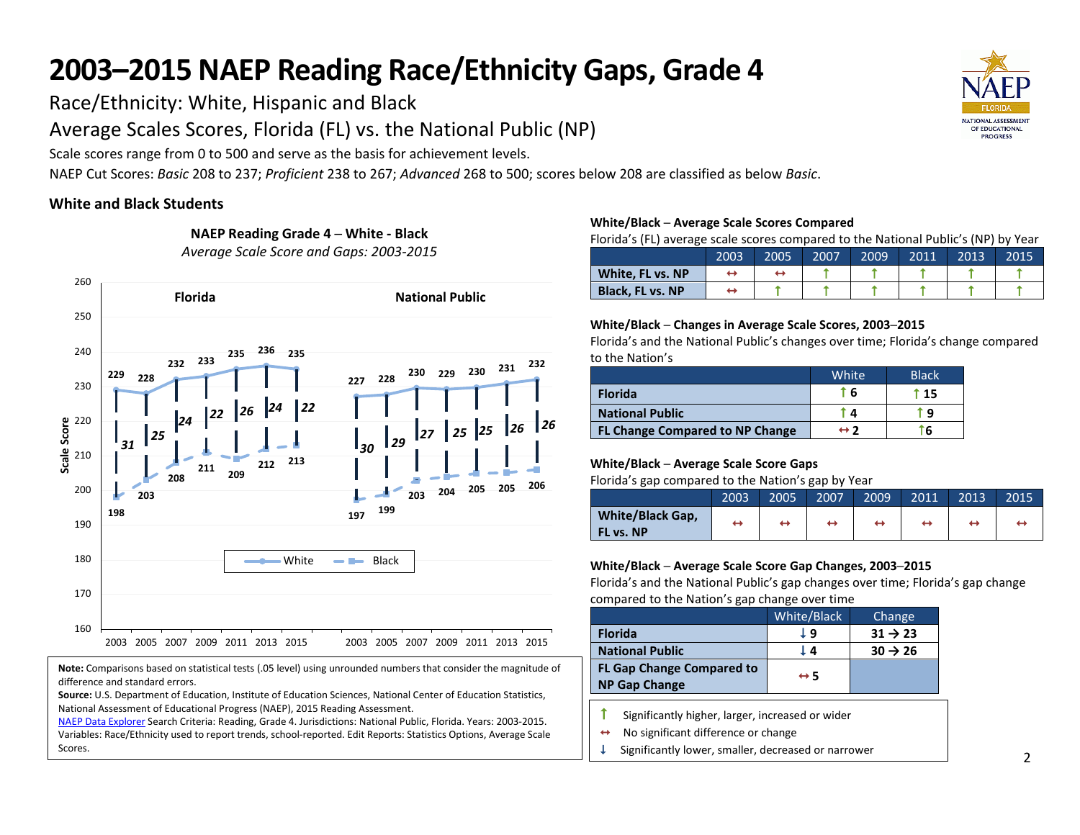Race/Ethnicity: White, Hispanic and Black

Average Scales Scores, Florida (FL) vs. the National Public (NP)

Scale scores range from 0 to 500 and serve as the basis for achievement levels.

NAEP Cut Scores: *Basic* 208 to 237; *Proficient* 238 to 267; *Advanced* 268 to 500; scores below 208 are classified as below *Basic*.

# **White and Black Students**



**Note:** Comparisons based on statistical tests (.05 level) using unrounded numbers that consider the magnitude of difference and standard errors.

**Source:** U.S. Department of Education, Institute of Education Sciences, National Center of Education Statistics, National Assessment of Educational Progress (NAEP), 2015 Reading Assessment.

[NAEP Data Explorer](http://nces.ed.gov/nationsreportcard/naepdata/) Search Criteria: Reading, Grade 4. Jurisdictions: National Public, Florida. Years: 2003-2015. Variables: Race/Ethnicity used to report trends, school-reported. Edit Reports: Statistics Options, Average Scale Scores.

### **White/Black ─ Average Scale Scores Compared**

Florida's (FL) average scale scores compared to the National Public's (NP) by Year

|                         | 2003 | 2005 | 2007 | 2009 | 2011 | 2013 | 2015 |
|-------------------------|------|------|------|------|------|------|------|
| White, FL vs. NP        |      |      |      |      |      |      |      |
| <b>Black. FL vs. NP</b> |      |      |      |      |      |      |      |

#### **White/Black ─ Changes in Average Scale Scores, 2003─2015**

Florida's and the National Public's changes over time; Florida's change compared to the Nation's

|                                        | White               | <b>Black</b> |
|----------------------------------------|---------------------|--------------|
| <b>Florida</b>                         | ົ 6                 | T 15         |
| <b>National Public</b>                 | а                   | ٠q           |
| <b>FL Change Compared to NP Change</b> | $\leftrightarrow$ 2 | 6            |

## **White/Black ─ Average Scale Score Gaps**

Florida's gap compared to the Nation's gap by Year

|                                             | 2003 | 2005 | 2007 | 2009 | 2011 | 2013 | 2015 |
|---------------------------------------------|------|------|------|------|------|------|------|
| <b>White/Black Gap,</b><br><b>FL vs. NP</b> |      | ↔    | ↔    |      | ↔    |      |      |

## **White/Black ─ Average Scale Score Gap Changes, 2003─2015**

Florida's and the National Public's gap changes over time; Florida's gap change compared to the Nation's gap change over time

|                                                          | White/Black         | Change              |
|----------------------------------------------------------|---------------------|---------------------|
| <b>Florida</b>                                           | Γd                  | $31 \rightarrow 23$ |
| <b>National Public</b>                                   | Ι4                  | $30 \rightarrow 26$ |
| <b>FL Gap Change Compared to</b><br><b>NP Gap Change</b> | $\leftrightarrow$ 5 |                     |

- $\uparrow$  Significantly higher, larger, increased or wider
- $\leftrightarrow$  No significant difference or change
- $\downarrow$  Significantly lower, smaller, decreased or narrower



*Average Scale Score and Gaps: 2003-2015*

**NAEP Reading Grade 4 ─ White - Black**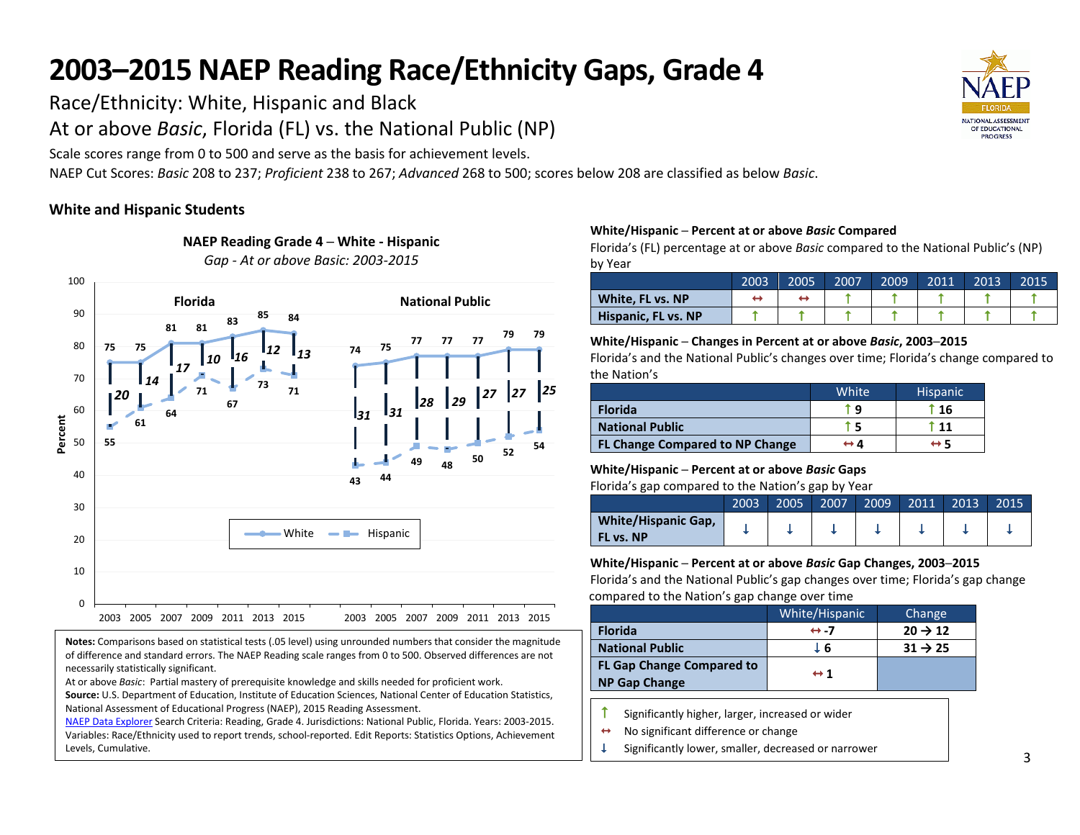Race/Ethnicity: White, Hispanic and Black

At or above *Basic*, Florida (FL) vs. the National Public (NP)

Scale scores range from 0 to 500 and serve as the basis for achievement levels.

NAEP Cut Scores: *Basic* 208 to 237; *Proficient* 238 to 267; *Advanced* 268 to 500; scores below 208 are classified as below *Basic*.

# **White and Hispanic Students**

necessarily statistically significant.

Levels, Cumulative.



**Notes:** Comparisons based on statistical tests (.05 level) using unrounded numbers that consider the magnitude of difference and standard errors. The NAEP Reading scale ranges from 0 to 500. Observed differences are not

**Source:** U.S. Department of Education, Institute of Education Sciences, National Center of Education Statistics,

[NAEP Data Explorer](http://nces.ed.gov/nationsreportcard/naepdata/) Search Criteria: Reading, Grade 4. Jurisdictions: National Public, Florida. Years: 2003-2015. Variables: Race/Ethnicity used to report trends, school-reported. Edit Reports: Statistics Options, Achievement

At or above *Basic*: Partial mastery of prerequisite knowledge and skills needed for proficient work.

National Assessment of Educational Progress (NAEP), 2015 Reading Assessment.

**NAEP Reading Grade 4 ─ White - Hispanic**

*Gap - At or above Basic: 2003-2015*

## **White/Hispanic ─ Percent at or above** *Basic* **Compared**

Florida's (FL) percentage at or above *Basic* compared to the National Public's (NP) by Year

|                     | 2003 | 2005 | 2007 | 2009 | 2011 | 2013 | 2015 |
|---------------------|------|------|------|------|------|------|------|
| White, FL vs. NP    |      |      |      |      |      |      |      |
| Hispanic, FL vs. NP |      |      |      |      |      |      |      |

### **White/Hispanic ─ Changes in Percent at or above** *Basic***, 2003─2015**

Florida's and the National Public's changes over time; Florida's change compared to the Nation's

|                                        | White | <b>Hispanic</b> |
|----------------------------------------|-------|-----------------|
| <b>Florida</b>                         | ŤΑ    | t 16            |
| <b>National Public</b>                 | ŤБ    | ່ 11            |
| <b>FL Change Compared to NP Change</b> | ↔ 4   | ↔ 5             |

## **White/Hispanic ─ Percent at or above** *Basic* **Gaps**

Florida's gap compared to the Nation's gap by Year

|                                         | 2003 | 2005 | 2007 | 2009 | 2011 | 2013 | 2015 |
|-----------------------------------------|------|------|------|------|------|------|------|
| <b>White/Hispanic Gap,</b><br>FL vs. NP |      |      |      |      |      |      |      |

## **White/Hispanic ─ Percent at or above** *Basic* **Gap Changes, 2003─2015**

Florida's and the National Public's gap changes over time; Florida's gap change compared to the Nation's gap change over time

|                                                          | White/Hispanic      | Change              |
|----------------------------------------------------------|---------------------|---------------------|
| <b>Florida</b>                                           | $leftrightarrow -7$ | $20 \rightarrow 12$ |
| <b>National Public</b>                                   | L 6                 | $31 \rightarrow 25$ |
| <b>FL Gap Change Compared to</b><br><b>NP Gap Change</b> | $\leftrightarrow$ 1 |                     |

- Significantly higher, larger, increased or wider
- $\leftrightarrow$  No significant difference or change
- Significantly lower, smaller, decreased or narrower

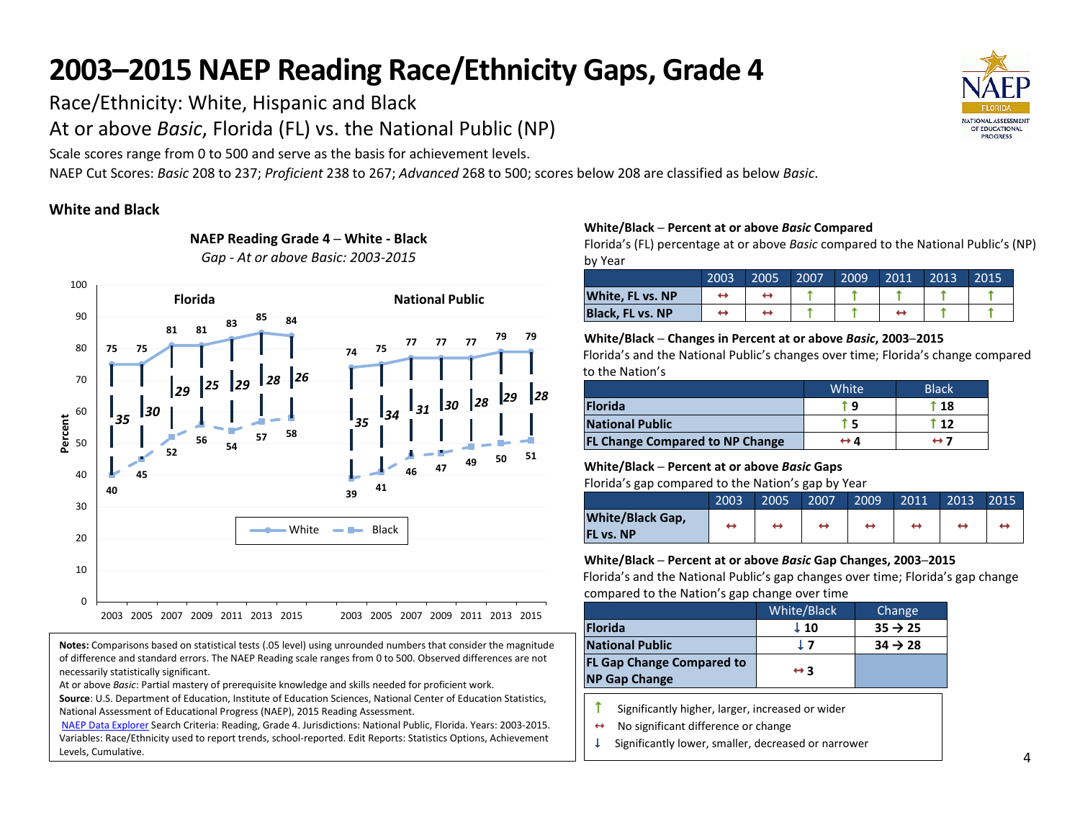Race/Ethnicity: White, Hispanic and Black

At or above *Basic*, Florida (FL) vs. the National Public (NP)

Scale scores range from 0 to 500 and serve as the basis for achievement levels.

NAEP Cut Scores: *Basic* 208 to 237; *Proficient* 238 to 267; *Advanced* 268 to 500; scores below 208 are classified as below *Basic*.

# **White and Black**

necessarily statistically significant.

Levels, Cumulative.



**Notes:** Comparisons based on statistical tests (.05 level) using unrounded numbers that consider the magnitude of difference and standard errors. The NAEP Reading scale ranges from 0 to 500. Observed differences are not

**Source**: U.S. Department of Education, Institute of Education Sciences, National Center of Education Statistics,

[NAEP Data Explorer](http://nces.ed.gov/nationsreportcard/naepdata/) Search Criteria: Reading, Grade 4. Jurisdictions: National Public, Florida. Years: 2003-2015. Variables: Race/Ethnicity used to report trends, school-reported. Edit Reports: Statistics Options, Achievement

At or above *Basic*: Partial mastery of prerequisite knowledge and skills needed for proficient work.

National Assessment of Educational Progress (NAEP), 2015 Reading Assessment.

**NAEP Reading Grade 4 ─ White - Black** *Gap - At or above Basic: 2003-2015*

## **White/Black ─ Percent at or above** *Basic* **Compared**

Florida's (FL) percentage at or above *Basic* compared to the National Public's (NP) by Year

|                         | 2003 | 2005 | 2007 | 2009 | 2011 | 2013 | 2015 |
|-------------------------|------|------|------|------|------|------|------|
| <b>White, FL vs. NP</b> |      |      |      |      |      |      |      |
| <b>Black. FL vs. NP</b> |      |      |      |      |      |      |      |

#### **White/Black ─ Changes in Percent at or above** *Basic***, 2003─2015**

Florida's and the National Public's changes over time; Florida's change compared to the Nation's

|                                        | White <sup>1</sup> | <b>Black</b> |
|----------------------------------------|--------------------|--------------|
| <b>Florida</b>                         | r q                | $^{\circ}18$ |
| <b>National Public</b>                 |                    | -12          |
| <b>FL Change Compared to NP Change</b> | ↔ 4                | ↔ 7          |

## **White/Black ─ Percent at or above** *Basic* **Gaps**

Florida's gap compared to the Nation's gap by Year

|                                             | 2003 | 2005 | 2007 | 2009 | 2011 | 2013 | 2015 |
|---------------------------------------------|------|------|------|------|------|------|------|
| <b>White/Black Gap,</b><br><b>FL vs. NP</b> |      |      |      |      |      |      |      |

## **White/Black ─ Percent at or above** *Basic* **Gap Changes, 2003─2015**

Florida's and the National Public's gap changes over time; Florida's gap change compared to the Nation's gap change over time

|                                                          | White/Black         | Change              |
|----------------------------------------------------------|---------------------|---------------------|
| <b>Florida</b>                                           | $\perp$ 10          | $35 \rightarrow 25$ |
| <b>National Public</b>                                   | 17                  | $34 \rightarrow 28$ |
| <b>FL Gap Change Compared to</b><br><b>NP Gap Change</b> | $\leftrightarrow$ 3 |                     |

- $\uparrow$  Significantly higher, larger, increased or wider
- $\leftrightarrow$  No significant difference or change
- $\downarrow$  Significantly lower, smaller, decreased or narrower

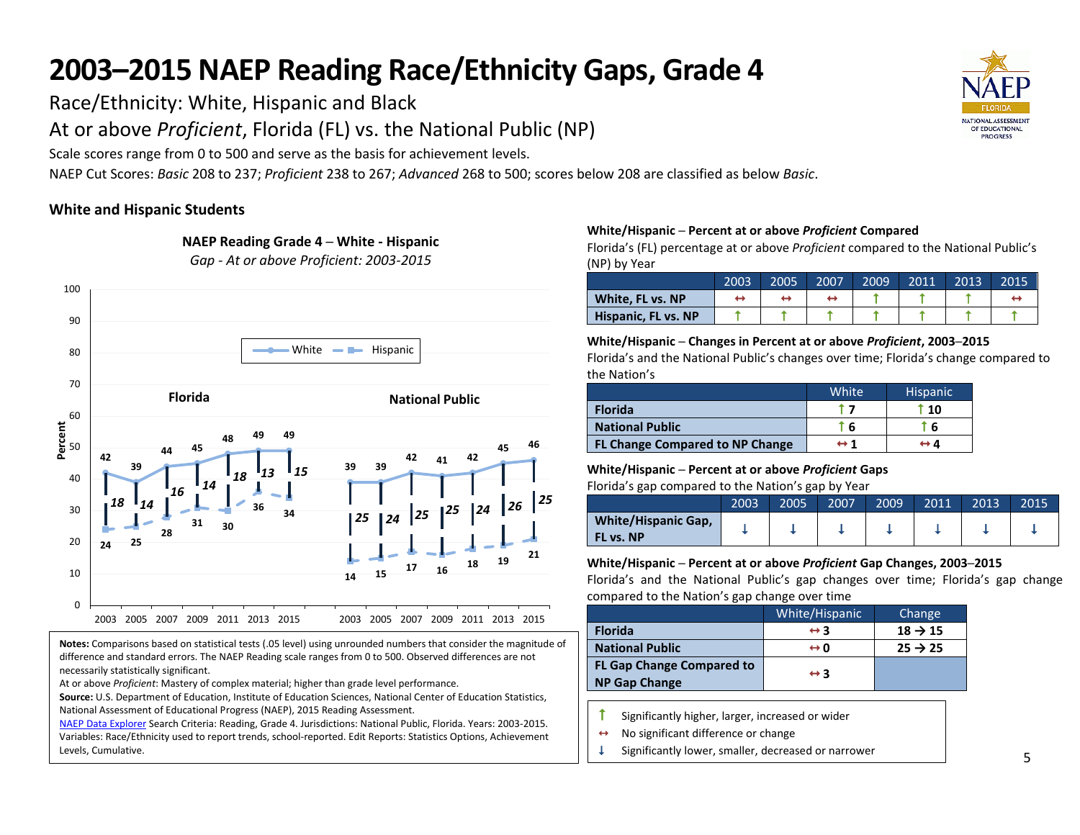Race/Ethnicity: White, Hispanic and Black

At or above *Proficient*, Florida (FL) vs. the National Public (NP)

**NAEP Reading Grade 4 ─ White - Hispanic**

Scale scores range from 0 to 500 and serve as the basis for achievement levels.

NAEP Cut Scores: *Basic* 208 to 237; *Proficient* 238 to 267; *Advanced* 268 to 500; scores below 208 are classified as below *Basic*.

# **White and Hispanic Students**



**Notes:** Comparisons based on statistical tests (.05 level) using unrounded numbers that consider the magnitude of difference and standard errors. The NAEP Reading scale ranges from 0 to 500. Observed differences are not necessarily statistically significant.

At or above *Proficient*: Mastery of complex material; higher than grade level performance.

**Source:** U.S. Department of Education, Institute of Education Sciences, National Center of Education Statistics, National Assessment of Educational Progress (NAEP), 2015 Reading Assessment.

[NAEP Data Explorer](http://nces.ed.gov/nationsreportcard/naepdata/) Search Criteria: Reading, Grade 4. Jurisdictions: National Public, Florida. Years: 2003-2015. Variables: Race/Ethnicity used to report trends, school-reported. Edit Reports: Statistics Options, Achievement Levels, Cumulative.

### **White/Hispanic ─ Percent at or above** *Proficient* **Compared**

Florida's (FL) percentage at or above *Proficient* compared to the National Public's (NP) by Year

|                     | 2003 | 2005 | 2007 | 2009 | 2011 | 2013 | 2015 |
|---------------------|------|------|------|------|------|------|------|
| White, FL vs. NP    |      |      |      |      |      |      |      |
| Hispanic, FL vs. NP |      |      |      |      |      |      |      |

#### **White/Hispanic ─ Changes in Percent at or above** *Proficient***, 2003─2015**

Florida's and the National Public's changes over time; Florida's change compared to the Nation's

|                                        | White <sup>1</sup>  | <b>Hispanic</b>          |
|----------------------------------------|---------------------|--------------------------|
| <b>Florida</b>                         |                     | $^{\circ}$ 10 $^{\circ}$ |
| <b>National Public</b>                 | Г 6                 | -6                       |
| <b>FL Change Compared to NP Change</b> | $\leftrightarrow$ 1 | $\leftrightarrow$ 4      |

### **White/Hispanic ─ Percent at or above** *Proficient* **Gaps**

Florida's gap compared to the Nation's gap by Year

|                                         | 2003 | 2005 | 2007 | 2009 | 2011 | 2013 | 2015 |
|-----------------------------------------|------|------|------|------|------|------|------|
| <b>White/Hispanic Gap,</b><br>FL vs. NP |      |      |      |      |      |      |      |

### **White/Hispanic ─ Percent at or above** *Proficient* **Gap Changes, 2003─2015**

Florida's and the National Public's gap changes over time; Florida's gap change compared to the Nation's gap change over time

|                                                          | White/Hispanic      | Change              |
|----------------------------------------------------------|---------------------|---------------------|
| <b>Florida</b>                                           | $\leftrightarrow$ 3 | $18 \rightarrow 15$ |
| <b>National Public</b>                                   | ⇔n                  | $25 \rightarrow 25$ |
| <b>FL Gap Change Compared to</b><br><b>NP Gap Change</b> | $\leftrightarrow$ 3 |                     |

- $\uparrow$  Significantly higher, larger, increased or wider
- $\leftrightarrow$  No significant difference or change
- $\downarrow$  Significantly lower, smaller, decreased or narrower